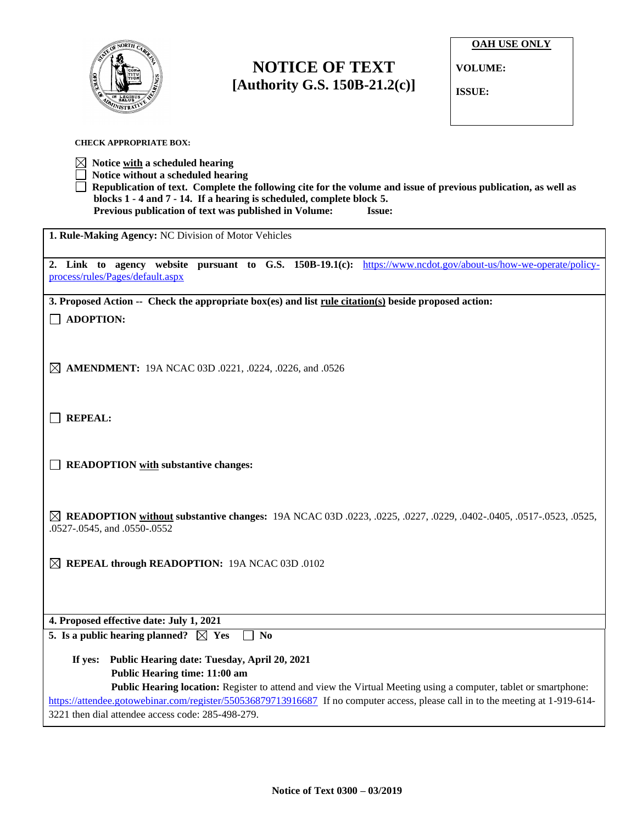

**CHECK APPROPRIATE BOX:**

## **NOTICE OF TEXT [Authority G.S. 150B-21.2(c)]**

**OAH USE ONLY**

**VOLUME:**

**ISSUE:**

| $\boxtimes$ Notice <u>with</u> a scheduled hearing<br>Notice without a scheduled hearing                                                                                                                                                                           |
|--------------------------------------------------------------------------------------------------------------------------------------------------------------------------------------------------------------------------------------------------------------------|
| Republication of text. Complete the following cite for the volume and issue of previous publication, as well as<br>blocks 1 - 4 and 7 - 14. If a hearing is scheduled, complete block 5.<br>Previous publication of text was published in Volume:<br><b>Issue:</b> |
| 1. Rule-Making Agency: NC Division of Motor Vehicles                                                                                                                                                                                                               |
| 2. Link to agency website pursuant to G.S. 150B-19.1(c): https://www.ncdot.gov/about-us/how-we-operate/policy-<br>process/rules/Pages/default.aspx                                                                                                                 |
| 3. Proposed Action -- Check the appropriate box(es) and list rule citation(s) beside proposed action:                                                                                                                                                              |
| <b>ADOPTION:</b>                                                                                                                                                                                                                                                   |
|                                                                                                                                                                                                                                                                    |
| $\boxtimes$ <b>AMENDMENT:</b> 19A NCAC 03D .0221, .0224, .0226, and .0526                                                                                                                                                                                          |
|                                                                                                                                                                                                                                                                    |
| <b>REPEAL:</b>                                                                                                                                                                                                                                                     |
|                                                                                                                                                                                                                                                                    |
| <b>READOPTION</b> with substantive changes:                                                                                                                                                                                                                        |
|                                                                                                                                                                                                                                                                    |
| <b>EXEL READOPTION without substantive changes:</b> 19A NCAC 03D .0223, .0225, .0227, .0229, .0402-.0405, .0517-.0523, .0525,                                                                                                                                      |
| .0527-.0545, and .0550-.0552                                                                                                                                                                                                                                       |
| $\boxtimes$ REPEAL through READOPTION: 19A NCAC 03D .0102                                                                                                                                                                                                          |
|                                                                                                                                                                                                                                                                    |
| 4. Proposed effective date: July 1, 2021                                                                                                                                                                                                                           |
| 5. Is a public hearing planned? $\boxtimes$ Yes<br><b>No</b>                                                                                                                                                                                                       |
| Public Hearing date: Tuesday, April 20, 2021<br>If yes:<br>Public Hearing time: 11:00 am                                                                                                                                                                           |
| Public Hearing location: Register to attend and view the Virtual Meeting using a computer, tablet or smartphone:                                                                                                                                                   |
| https://attendee.gotowebinar.com/register/550536879713916687 If no computer access, please call in to the meeting at 1-919-614-<br>3221 then dial attendee access code: 285-498-279.                                                                               |
|                                                                                                                                                                                                                                                                    |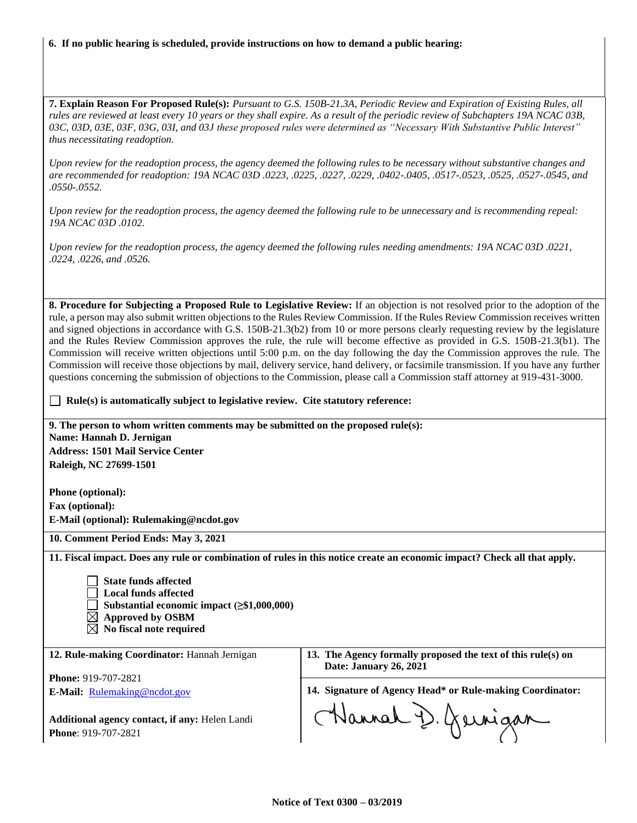## **6. If no public hearing is scheduled, provide instructions on how to demand a public hearing:**

**7. Explain Reason For Proposed Rule(s):** *Pursuant to G.S. 150B-21.3A, Periodic Review and Expiration of Existing Rules, all rules are reviewed at least every 10 years or they shall expire. As a result of the periodic review of Subchapters 19A NCAC 03B, 03C, 03D, 03E, 03F, 03G, 03I, and 03J these proposed rules were determined as "Necessary With Substantive Public Interest" thus necessitating readoption.*

*Upon review for the readoption process, the agency deemed the following rules to be necessary without substantive changes and are recommended for readoption: 19A NCAC 03D .0223, .0225, .0227, .0229, .0402-.0405, .0517-.0523, .0525, .0527-.0545, and .0550-.0552.*

*Upon review for the readoption process, the agency deemed the following rule to be unnecessary and is recommending repeal: 19A NCAC 03D .0102.*

*Upon review for the readoption process, the agency deemed the following rules needing amendments: 19A NCAC 03D .0221, .0224, .0226, and .0526.*

**8. Procedure for Subjecting a Proposed Rule to Legislative Review:** If an objection is not resolved prior to the adoption of the rule, a person may also submit written objections to the Rules Review Commission. If the Rules Review Commission receives written and signed objections in accordance with G.S. 150B-21.3(b2) from 10 or more persons clearly requesting review by the legislature and the Rules Review Commission approves the rule, the rule will become effective as provided in G.S. 150B-21.3(b1). The Commission will receive written objections until 5:00 p.m. on the day following the day the Commission approves the rule. The Commission will receive those objections by mail, delivery service, hand delivery, or facsimile transmission. If you have any further questions concerning the submission of objections to the Commission, please call a Commission staff attorney at 919-431-3000.

**Rule(s)** is automatically subject to legislative review. Cite statutory reference:

**9. The person to whom written comments may be submitted on the proposed rule(s): Name: Hannah D. Jernigan Address: 1501 Mail Service Center Raleigh, NC 27699-1501**

**Phone (optional): Fax (optional): E-Mail (optional): Rulemaking@ncdot.gov**

**10. Comment Period Ends: May 3, 2021**

**11. Fiscal impact. Does any rule or combination of rules in this notice create an economic impact? Check all that apply.**

 **State funds affected Local funds affected Substantial economic impact (≥\$1,000,000) Approved by OSBM**

 **No fiscal note required**

**12. Rule-making Coordinator:** Hannah Jernigan

**Phone:** 919-707-2821

**E-Mail:** [Rulemaking@ncdot.gov](mailto:Rulemaking@ncdot.gov)

**Additional agency contact, if any:** Helen Landi **Phone**: 919-707-2821

**13. The Agency formally proposed the text of this rule(s) on Date: January 26, 2021**

**14. Signature of Agency Head\* or Rule-making Coordinator:**

Hannah D. Gernigan